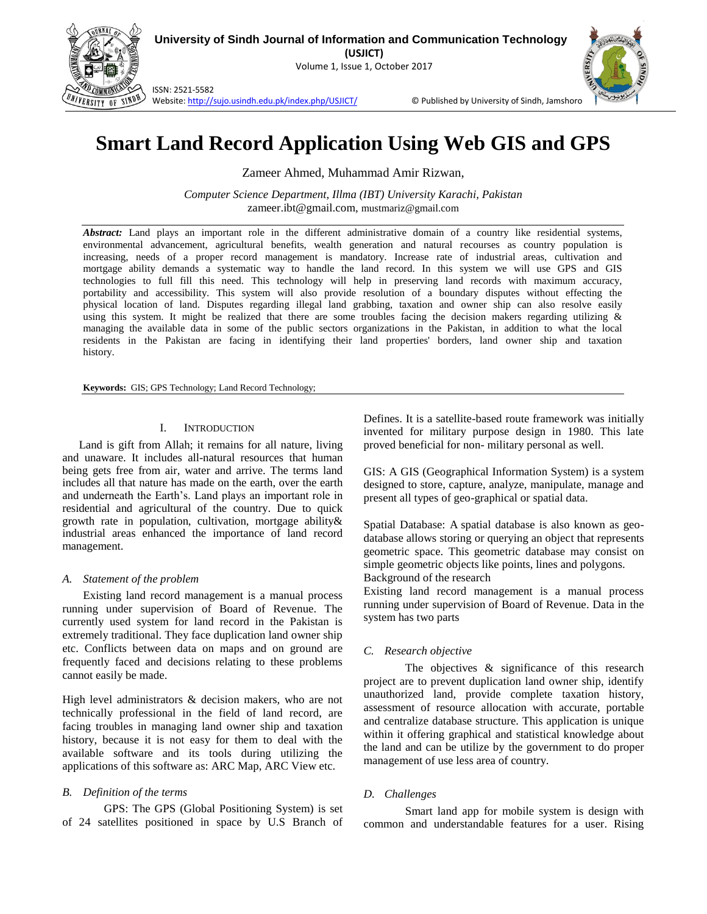

**University of Sindh Journal of Information and Communication Technology**

**(USJICT)** Volume 1, Issue 1, October 2017



ISSN: 2521-5582

Website[: http://sujo.usindh.edu.pk/index.php/USJICT/](http://sujo.usindh.edu.pk/index.php/USJICT/) © Published by University of Sindh, Jamshoro.

# **Smart Land Record Application Using Web GIS and GPS**

Zameer Ahmed, Muhammad Amir Rizwan,

*Computer Science Department, Illma (IBT) University Karachi, Pakistan* zameer.ibt@gmail.com, mustmariz@gmail.com

*Abstract:* Land plays an important role in the different administrative domain of a country like residential systems, environmental advancement, agricultural benefits, wealth generation and natural recourses as country population is increasing, needs of a proper record management is mandatory. Increase rate of industrial areas, cultivation and mortgage ability demands a systematic way to handle the land record. In this system we will use GPS and GIS technologies to full fill this need. This technology will help in preserving land records with maximum accuracy, portability and accessibility. This system will also provide resolution of a boundary disputes without effecting the physical location of land. Disputes regarding illegal land grabbing, taxation and owner ship can also resolve easily using this system. It might be realized that there are some troubles facing the decision makers regarding utilizing & managing the available data in some of the public sectors organizations in the Pakistan, in addition to what the local residents in the Pakistan are facing in identifying their land properties' borders, land owner ship and taxation history.

**Keywords:** GIS; GPS Technology; Land Record Technology;

#### I. INTRODUCTION

Land is gift from Allah; it remains for all nature, living and unaware. It includes all-natural resources that human being gets free from air, water and arrive. The terms land includes all that nature has made on the earth, over the earth and underneath the Earth's. Land plays an important role in residential and agricultural of the country. Due to quick growth rate in population, cultivation, mortgage ability& industrial areas enhanced the importance of land record management.

## *A. Statement of the problem*

Existing land record management is a manual process running under supervision of Board of Revenue. The currently used system for land record in the Pakistan is extremely traditional. They face duplication land owner ship etc. Conflicts between data on maps and on ground are frequently faced and decisions relating to these problems cannot easily be made.

High level administrators & decision makers, who are not technically professional in the field of land record, are facing troubles in managing land owner ship and taxation history, because it is not easy for them to deal with the available software and its tools during utilizing the applications of this software as: ARC Map, ARC View etc.

# *B. Definition of the terms*

GPS: The GPS (Global Positioning System) is set of 24 satellites positioned in space by U.S Branch of Defines. It is a satellite-based route framework was initially invented for military purpose design in 1980. This late proved beneficial for non- military personal as well.

GIS: A GIS (Geographical Information System) is a system designed to store, capture, analyze, manipulate, manage and present all types of geo-graphical or spatial data.

Spatial Database: A spatial database is also known as geodatabase allows storing or querying an object that represents geometric space. This geometric database may consist on simple geometric objects like points, lines and polygons. Background of the research

Existing land record management is a manual process running under supervision of Board of Revenue. Data in the system has two parts

## *C. Research objective*

The objectives & significance of this research project are to prevent duplication land owner ship, identify unauthorized land, provide complete taxation history, assessment of resource allocation with accurate, portable and centralize database structure. This application is unique within it offering graphical and statistical knowledge about the land and can be utilize by the government to do proper management of use less area of country.

## *D. Challenges*

Smart land app for mobile system is design with common and understandable features for a user. Rising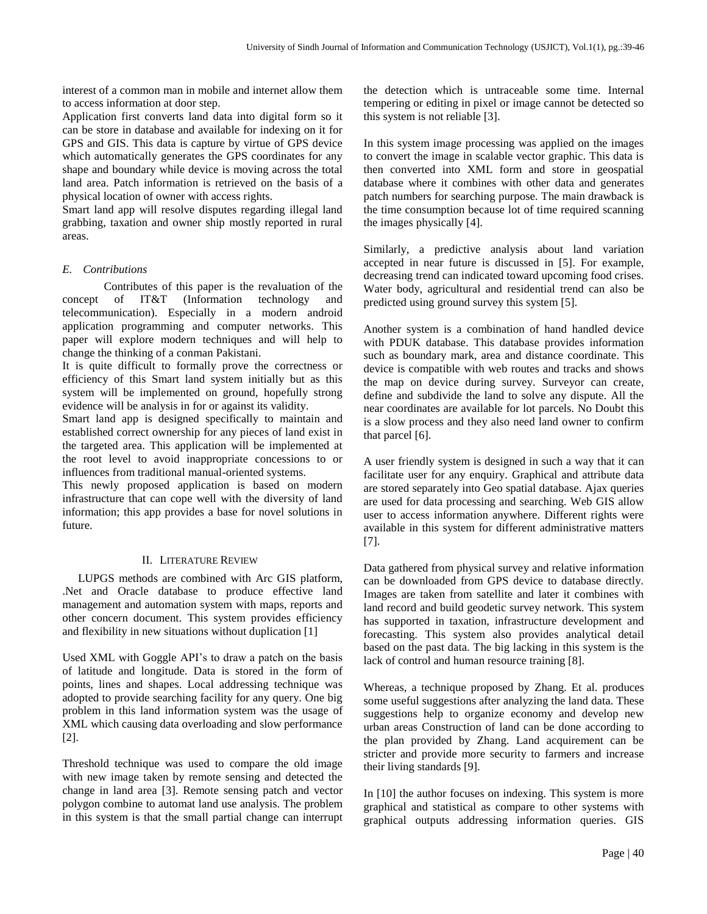interest of a common man in mobile and internet allow them to access information at door step.

Application first converts land data into digital form so it can be store in database and available for indexing on it for GPS and GIS. This data is capture by virtue of GPS device which automatically generates the GPS coordinates for any shape and boundary while device is moving across the total land area. Patch information is retrieved on the basis of a physical location of owner with access rights.

Smart land app will resolve disputes regarding illegal land grabbing, taxation and owner ship mostly reported in rural areas.

# *E. Contributions*

Contributes of this paper is the revaluation of the concept of IT&T (Information technology and telecommunication). Especially in a modern android application programming and computer networks. This paper will explore modern techniques and will help to change the thinking of a conman Pakistani.

It is quite difficult to formally prove the correctness or efficiency of this Smart land system initially but as this system will be implemented on ground, hopefully strong evidence will be analysis in for or against its validity.

Smart land app is designed specifically to maintain and established correct ownership for any pieces of land exist in the targeted area. This application will be implemented at the root level to avoid inappropriate concessions to or influences from traditional manual-oriented systems.

This newly proposed application is based on modern infrastructure that can cope well with the diversity of land information; this app provides a base for novel solutions in future.

## II. LITERATURE REVIEW

LUPGS methods are combined with Arc GIS platform, .Net and Oracle database to produce effective land management and automation system with maps, reports and other concern document. This system provides efficiency and flexibility in new situations without duplication [1]

Used XML with Goggle API's to draw a patch on the basis of latitude and longitude. Data is stored in the form of points, lines and shapes. Local addressing technique was adopted to provide searching facility for any query. One big problem in this land information system was the usage of XML which causing data overloading and slow performance [2].

Threshold technique was used to compare the old image with new image taken by remote sensing and detected the change in land area [3]. Remote sensing patch and vector polygon combine to automat land use analysis. The problem in this system is that the small partial change can interrupt the detection which is untraceable some time. Internal tempering or editing in pixel or image cannot be detected so this system is not reliable [3].

In this system image processing was applied on the images to convert the image in scalable vector graphic. This data is then converted into XML form and store in geospatial database where it combines with other data and generates patch numbers for searching purpose. The main drawback is the time consumption because lot of time required scanning the images physically [4].

Similarly, a predictive analysis about land variation accepted in near future is discussed in [5]. For example, decreasing trend can indicated toward upcoming food crises. Water body, agricultural and residential trend can also be predicted using ground survey this system [5].

Another system is a combination of hand handled device with PDUK database. This database provides information such as boundary mark, area and distance coordinate. This device is compatible with web routes and tracks and shows the map on device during survey. Surveyor can create, define and subdivide the land to solve any dispute. All the near coordinates are available for lot parcels. No Doubt this is a slow process and they also need land owner to confirm that parcel [6].

A user friendly system is designed in such a way that it can facilitate user for any enquiry. Graphical and attribute data are stored separately into Geo spatial database. Ajax queries are used for data processing and searching. Web GIS allow user to access information anywhere. Different rights were available in this system for different administrative matters [7].

Data gathered from physical survey and relative information can be downloaded from GPS device to database directly. Images are taken from satellite and later it combines with land record and build geodetic survey network. This system has supported in taxation, infrastructure development and forecasting. This system also provides analytical detail based on the past data. The big lacking in this system is the lack of control and human resource training [8].

Whereas, a technique proposed by Zhang. Et al. produces some useful suggestions after analyzing the land data. These suggestions help to organize economy and develop new urban areas Construction of land can be done according to the plan provided by Zhang. Land acquirement can be stricter and provide more security to farmers and increase their living standards [9].

In [10] the author focuses on indexing. This system is more graphical and statistical as compare to other systems with graphical outputs addressing information queries. GIS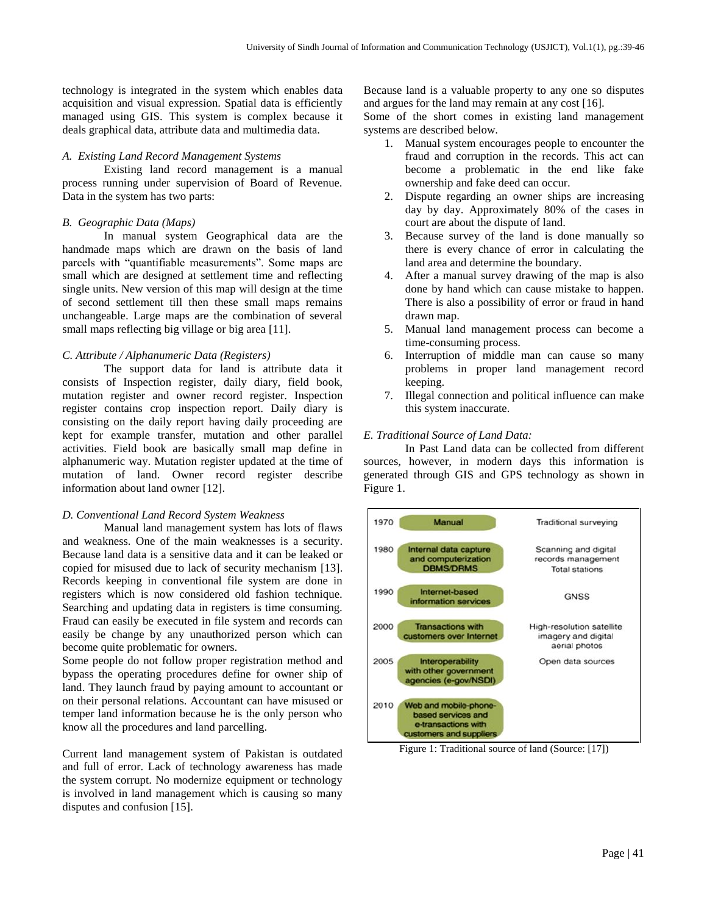technology is integrated in the system which enables data acquisition and visual expression. Spatial data is efficiently managed using GIS. This system is complex because it deals graphical data, attribute data and multimedia data.

#### *A. Existing Land Record Management Systems*

Existing land record management is a manual process running under supervision of Board of Revenue. Data in the system has two parts:

# *B. Geographic Data (Maps)*

In manual system Geographical data are the handmade maps which are drawn on the basis of land parcels with "quantifiable measurements". Some maps are small which are designed at settlement time and reflecting single units. New version of this map will design at the time of second settlement till then these small maps remains unchangeable. Large maps are the combination of several small maps reflecting big village or big area [11].

## *C. Attribute / Alphanumeric Data (Registers)*

The support data for land is attribute data it consists of Inspection register, daily diary, field book, mutation register and owner record register. Inspection register contains crop inspection report. Daily diary is consisting on the daily report having daily proceeding are kept for example transfer, mutation and other parallel activities. Field book are basically small map define in alphanumeric way. Mutation register updated at the time of mutation of land. Owner record register describe information about land owner [12].

## *D. Conventional Land Record System Weakness*

Manual land management system has lots of flaws and weakness. One of the main weaknesses is a security. Because land data is a sensitive data and it can be leaked or copied for misused due to lack of security mechanism [13]. Records keeping in conventional file system are done in registers which is now considered old fashion technique. Searching and updating data in registers is time consuming. Fraud can easily be executed in file system and records can easily be change by any unauthorized person which can become quite problematic for owners.

Some people do not follow proper registration method and bypass the operating procedures define for owner ship of land. They launch fraud by paying amount to accountant or on their personal relations. Accountant can have misused or temper land information because he is the only person who know all the procedures and land parcelling.

Current land management system of Pakistan is outdated and full of error. Lack of technology awareness has made the system corrupt. No modernize equipment or technology is involved in land management which is causing so many disputes and confusion [15].

Because land is a valuable property to any one so disputes and argues for the land may remain at any cost [16].

Some of the short comes in existing land management systems are described below.

- 1. Manual system encourages people to encounter the fraud and corruption in the records. This act can become a problematic in the end like fake ownership and fake deed can occur.
- 2. Dispute regarding an owner ships are increasing day by day. Approximately 80% of the cases in court are about the dispute of land.
- 3. Because survey of the land is done manually so there is every chance of error in calculating the land area and determine the boundary.
- 4. After a manual survey drawing of the map is also done by hand which can cause mistake to happen. There is also a possibility of error or fraud in hand drawn map.
- 5. Manual land management process can become a time-consuming process.
- 6. Interruption of middle man can cause so many problems in proper land management record keeping.
- 7. Illegal connection and political influence can make this system inaccurate.

## *E. Traditional Source of Land Data:*

In Past Land data can be collected from different sources, however, in modern days this information is generated through GIS and GPS technology as shown in Figure 1.



Figure 1: Traditional source of land (Source: [17])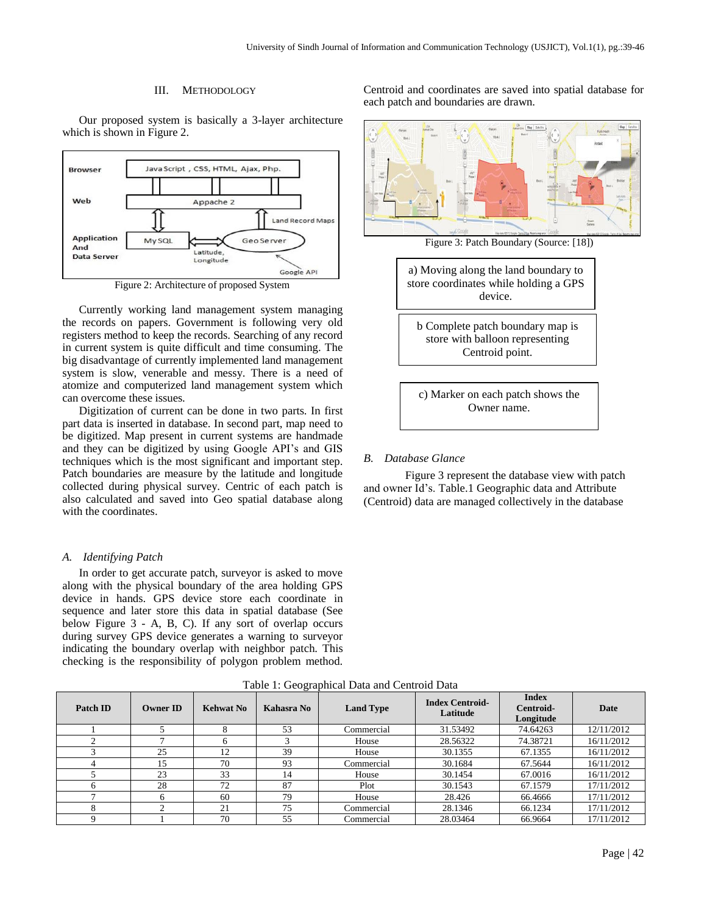#### III. METHODOLOGY

Our proposed system is basically a 3-layer architecture which is shown in Figure 2.



Figure 2: Architecture of proposed System

Currently working land management system managing the records on papers. Government is following very old registers method to keep the records. Searching of any record in current system is quite difficult and time consuming. The big disadvantage of currently implemented land management system is slow, venerable and messy. There is a need of atomize and computerized land management system which can overcome these issues.

Digitization of current can be done in two parts. In first part data is inserted in database. In second part, map need to be digitized. Map present in current systems are handmade and they can be digitized by using Google API's and GIS techniques which is the most significant and important step. Patch boundaries are measure by the latitude and longitude collected during physical survey. Centric of each patch is also calculated and saved into Geo spatial database along with the coordinates.

#### *A. Identifying Patch*

In order to get accurate patch, surveyor is asked to move along with the physical boundary of the area holding GPS device in hands. GPS device store each coordinate in sequence and later store this data in spatial database (See below Figure 3 - A, B, C). If any sort of overlap occurs during survey GPS device generates a warning to surveyor indicating the boundary overlap with neighbor patch. This checking is the responsibility of polygon problem method.

Table 1: Geographical Data and Centroid Data Patch **ID Owner ID Kehwat No Kahasra No Land Type Index Centroid-Latitude Index Centroid-Longitude Date** 1 5 8 8 53 Commercial 31.53492 74.64263 12/11/2012 2 7 7 6 3 House 28.56322 74.38721 16/11/2012 3 25 12 39 House 30.1355 67.1355 16/11/2012 4 15 70 93 Commercial 30.1684 67.5644 16/11/2012 5 23 33 14 House 30.1454 67.0016 16/11/2012 6 28 72 87 Plot 30.1543 67.1579 17/11/2012 7 | 6 | 60 | 79 | House | 28.426 | 66.4666 | 17/11/2012 8 21 21 | 75 | Commercial | 28.1346 | 66.1234 | 17/11/2012 9 1 70 55 Commercial 28.03464 66.9664 17/11/2012

Centroid and coordinates are saved into spatial database for each patch and boundaries are drawn.



#### *B. Database Glance*

Figure 3 represent the database view with patch and owner Id's. Table.1 Geographic data and Attribute (Centroid) data are managed collectively in the database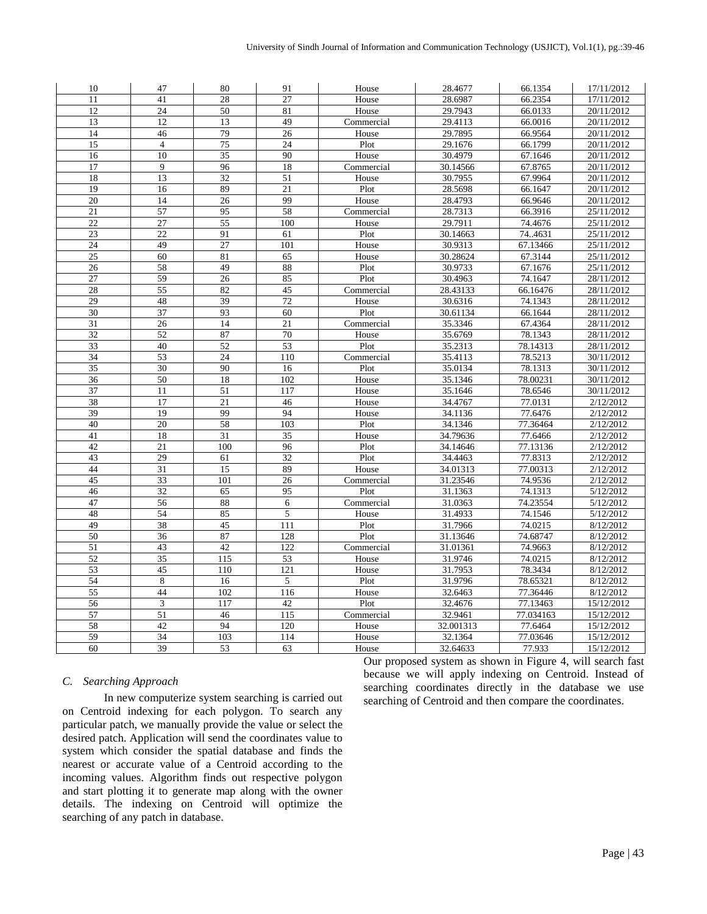| 10              | 47              | 80              | 91              | House      | 28.4677   | 66.1354   | 17/11/2012 |
|-----------------|-----------------|-----------------|-----------------|------------|-----------|-----------|------------|
| 11              | 41              | 28              | 27              | House      | 28.6987   | 66.2354   | 17/11/2012 |
| 12              | 24              | 50              | 81              | House      | 29.7943   | 66.0133   | 20/11/2012 |
| 13              | 12              | 13              | 49              | Commercial | 29.4113   | 66.0016   | 20/11/2012 |
| 14              | 46              | 79              | 26              | House      | 29.7895   | 66.9564   | 20/11/2012 |
| 15              | $\overline{4}$  | 75              | 24              | Plot       | 29.1676   | 66.1799   | 20/11/2012 |
| 16              | 10              | 35              | 90              | House      | 30.4979   | 67.1646   | 20/11/2012 |
| 17              | 9               | 96              | 18              | Commercial | 30.14566  | 67.8765   | 20/11/2012 |
| 18              | 13              | $\overline{32}$ | 51              | House      | 30.7955   | 67.9964   | 20/11/2012 |
| 19              | 16              | 89              | 21              | Plot       | 28.5698   | 66.1647   | 20/11/2012 |
| 20              | 14              | 26              | 99              | House      | 28.4793   | 66.9646   | 20/11/2012 |
| 21              | 57              | 95              | 58              | Commercial | 28.7313   | 66.3916   | 25/11/2012 |
| 22              | 27              | 55              | 100             | House      | 29.7911   | 74.4676   | 25/11/2012 |
| 23              | 22              | 91              | 61              | Plot       | 30.14663  | 74.4631   | 25/11/2012 |
| 24              | 49              | 27              | 101             | House      | 30.9313   | 67.13466  | 25/11/2012 |
| 25              | 60              | 81              | 65              | House      | 30.28624  | 67.3144   | 25/11/2012 |
| 26              | 58              | 49              | 88              | Plot       | 30.9733   | 67.1676   | 25/11/2012 |
| 27              | 59              | 26              | 85              | Plot       | 30.4963   | 74.1647   | 28/11/2012 |
| 28              | 55              | 82              | 45              | Commercial | 28.43133  | 66.16476  | 28/11/2012 |
| 29              | 48              | 39              | 72              | House      | 30.6316   | 74.1343   | 28/11/2012 |
| 30              | 37              | 93              | 60              | Plot       | 30.61134  | 66.1644   | 28/11/2012 |
| 31              | 26              | 14              | $\overline{21}$ | Commercial | 35.3346   | 67.4364   | 28/11/2012 |
| $\overline{32}$ | $\overline{52}$ | 87              | 70              | House      | 35.6769   | 78.1343   | 28/11/2012 |
| $\overline{33}$ | 40              | 52              | 53              | Plot       | 35.2313   | 78.14313  | 28/11/2012 |
| 34              | 53              | 24              | 110             | Commercial | 35.4113   | 78.5213   | 30/11/2012 |
| $\overline{35}$ | 30              | 90              | 16              | Plot       | 35.0134   | 78.1313   | 30/11/2012 |
| 36              | 50              | 18              | 102             | House      | 35.1346   | 78.00231  | 30/11/2012 |
| 37              | 11              | 51              | 117             | House      | 35.1646   | 78.6546   | 30/11/2012 |
| 38              | 17              | 21              | 46              | House      | 34.4767   | 77.0131   | 2/12/2012  |
| 39              | 19              | 99              | 94              | House      | 34.1136   | 77.6476   | 2/12/2012  |
| 40              | 20              | 58              | 103             | Plot       | 34.1346   | 77.36464  | 2/12/2012  |
| 41              | 18              | 31              | 35              | House      | 34.79636  | 77.6466   | 2/12/2012  |
| 42              | 21              | 100             | 96              | Plot       | 34.14646  | 77.13136  | 2/12/2012  |
| 43              | 29              | 61              | 32              | Plot       | 34.4463   | 77.8313   | 2/12/2012  |
| 44              | 31              | 15              | 89              | House      | 34.01313  | 77.00313  | 2/12/2012  |
| 45              | 33              | 101             | 26              | Commercial | 31.23546  | 74.9536   | 2/12/2012  |
| 46              | 32              | 65              | 95              | Plot       | 31.1363   | 74.1313   | 5/12/2012  |
| 47              | 56              | 88              | 6               | Commercial | 31.0363   | 74.23554  | 5/12/2012  |
| 48              | 54              | 85              | 5               | House      | 31.4933   | 74.1546   | 5/12/2012  |
| 49              | 38              | 45              | 111             | Plot       | 31.7966   | 74.0215   | 8/12/2012  |
| $\overline{50}$ | 36              | 87              | 128             | Plot       | 31.13646  | 74.68747  | 8/12/2012  |
| 51              | 43              | 42              | 122             | Commercial | 31.01361  | 74.9663   | 8/12/2012  |
| 52              | 35              | 115             | 53              | House      | 31.9746   | 74.0215   | 8/12/2012  |
| 53              | 45              | 110             | 121             | House      | 31.7953   | 78.3434   | 8/12/2012  |
| 54              | $\,8\,$         | 16              | 5               | Plot       | 31.9796   | 78.65321  | 8/12/2012  |
| 55              | 44              | 102             | 116             | House      | 32.6463   | 77.36446  | 8/12/2012  |
| 56              | 3               | 117             | 42              | Plot       | 32.4676   | 77.13463  | 15/12/2012 |
| 57              | 51              | 46              | 115             | Commercial | 32.9461   | 77.034163 | 15/12/2012 |
| 58              | 42              | 94              | 120             | House      | 32.001313 | 77.6464   | 15/12/2012 |
| 59              | 34              | 103             | 114             | House      | 32.1364   | 77.03646  | 15/12/2012 |
| 60              | 39              | 53              | 63              | House      | 32.64633  | 77.933    | 15/12/2012 |

# *C. Searching Approach*

In new computerize system searching is carried out on Centroid indexing for each polygon. To search any particular patch, we manually provide the value or select the desired patch. Application will send the coordinates value to system which consider the spatial database and finds the nearest or accurate value of a Centroid according to the incoming values. Algorithm finds out respective polygon and start plotting it to generate map along with the owner details. The indexing on Centroid will optimize the searching of any patch in database.

Our proposed system as shown in Figure 4, will search fast because we will apply indexing on Centroid. Instead of searching coordinates directly in the database we use searching of Centroid and then compare the coordinates.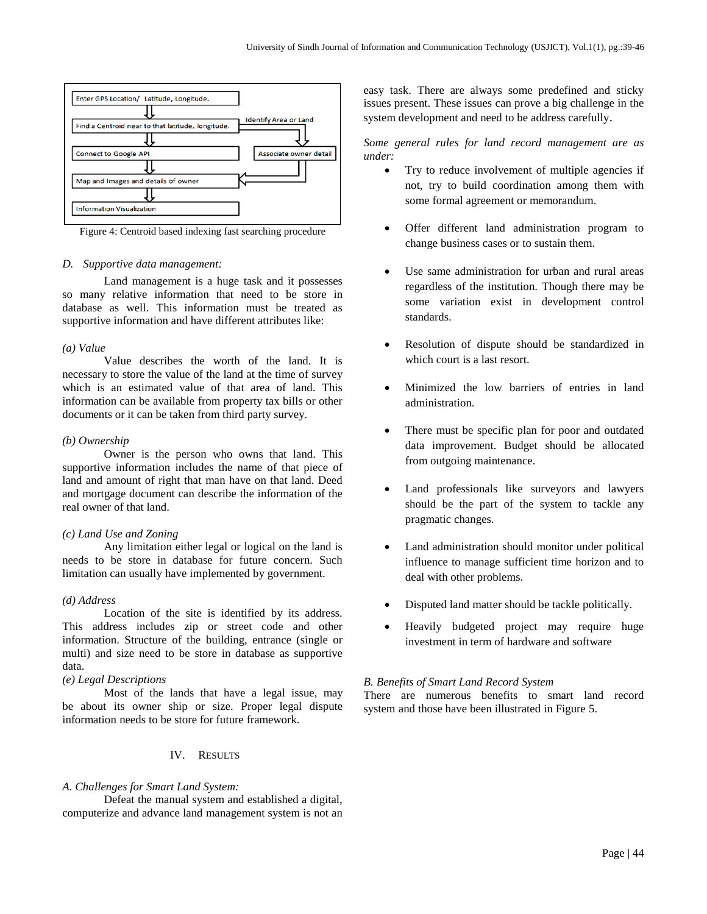

Figure 4: Centroid based indexing fast searching procedure

#### *D. Supportive data management:*

Land management is a huge task and it possesses so many relative information that need to be store in database as well. This information must be treated as supportive information and have different attributes like:

#### *(a) Value*

Value describes the worth of the land. It is necessary to store the value of the land at the time of survey which is an estimated value of that area of land. This information can be available from property tax bills or other documents or it can be taken from third party survey.

## *(b) Ownership*

Owner is the person who owns that land. This supportive information includes the name of that piece of land and amount of right that man have on that land. Deed and mortgage document can describe the information of the real owner of that land.

## *(c) Land Use and Zoning*

Any limitation either legal or logical on the land is needs to be store in database for future concern. Such limitation can usually have implemented by government.

## *(d) Address*

Location of the site is identified by its address. This address includes zip or street code and other information. Structure of the building, entrance (single or multi) and size need to be store in database as supportive data.

## *(e) Legal Descriptions*

Most of the lands that have a legal issue, may be about its owner ship or size. Proper legal dispute information needs to be store for future framework.

## IV. RESULTS

## *A. Challenges for Smart Land System:*

Defeat the manual system and established a digital, computerize and advance land management system is not an easy task. There are always some predefined and sticky issues present. These issues can prove a big challenge in the system development and need to be address carefully.

*Some general rules for land record management are as under:*

- Try to reduce involvement of multiple agencies if not, try to build coordination among them with some formal agreement or memorandum.
- Offer different land administration program to change business cases or to sustain them.
- Use same administration for urban and rural areas regardless of the institution. Though there may be some variation exist in development control standards.
- Resolution of dispute should be standardized in which court is a last resort.
- Minimized the low barriers of entries in land administration.
- There must be specific plan for poor and outdated data improvement. Budget should be allocated from outgoing maintenance.
- Land professionals like surveyors and lawyers should be the part of the system to tackle any pragmatic changes.
- Land administration should monitor under political influence to manage sufficient time horizon and to deal with other problems.
- Disputed land matter should be tackle politically.
- Heavily budgeted project may require huge investment in term of hardware and software

# *B. Benefits of Smart Land Record System*

There are numerous benefits to smart land record system and those have been illustrated in Figure 5.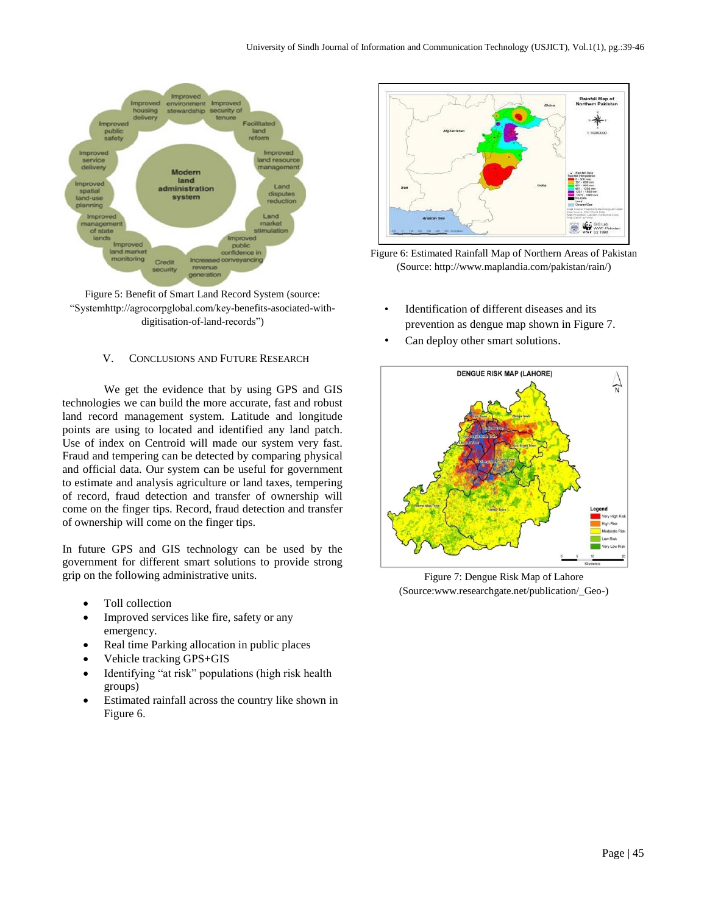

Figure 5: Benefit of Smart Land Record System (source: "Systemhttp://agrocorpglobal.com/key-benefits-asociated-withdigitisation-of-land-records")

# V. CONCLUSIONS AND FUTURE RESEARCH

We get the evidence that by using GPS and GIS technologies we can build the more accurate, fast and robust land record management system. Latitude and longitude points are using to located and identified any land patch. Use of index on Centroid will made our system very fast. Fraud and tempering can be detected by comparing physical and official data. Our system can be useful for government to estimate and analysis agriculture or land taxes, tempering of record, fraud detection and transfer of ownership will come on the finger tips. Record, fraud detection and transfer of ownership will come on the finger tips.

In future GPS and GIS technology can be used by the government for different smart solutions to provide strong grip on the following administrative units.

- Toll collection
- Improved services like fire, safety or any emergency.
- Real time Parking allocation in public places
- Vehicle tracking GPS+GIS
- Identifying "at risk" populations (high risk health groups)
- Estimated rainfall across the country like shown in Figure 6.



Figure 6: Estimated Rainfall Map of Northern Areas of Pakistan (Source: http://www.maplandia.com/pakistan/rain/)

- Identification of different diseases and its prevention as dengue map shown in Figure 7.
- Can deploy other smart solutions.



Figure 7: Dengue Risk Map of Lahore (Source:www.researchgate.net/publication/\_Geo-)